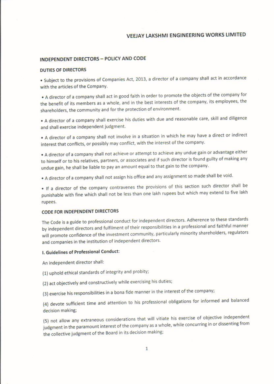# **VEEJAY LAKSHMI ENGINEERING WORKS LIMITED**

## INDEPENDENT DIRECTORS - POLICY AND CODE

#### DUTIES OF DIRECTORS

• Subject to the provisions of Companies Act, 2013, a director of a company shall act in accordance with the articles of the Company.

- <sup>A</sup> director of <sup>a</sup> company shall act in good faith in order to promote the objects of the company for the benefit of its members as a whole, and in the best interests of the company, its employees, the shareholders, the community and for the protection of environment.

. A director of a company shall exercise his duties with due and reasonable care, skill and diligence and shall exercise independent judgment.

. A director of a company shall not involve in a situation in which he may have a direct or indirect interest that conflicts, or possibly may conflict, with the interest of the company.

• A director of a company shall not achieve or attempt to achieve any undue gain or advantage either to himself or to his relatives, partners, or associates and if such director is found guilty of making any undue gain, he shall be liable to pay an amount equal to that gain to the company.

. A director of a company shall not assign his office and any assignment so made shall be void.

. If a director of the company contravenes the provisions of this section such director shall be punishable with fine which shall not be less than one lakh rupees but which may extend to five lakh rupees.

### CODE FOR INDEPENDENT DIRECTORS

The Code is <sup>a</sup> guide to professional conduct for independent directors Adherence to these standards by independent directors and fulfilment of their responsibilities in a professional and faithful manner will promote confidence of the investment community, particularly minority shareholders, regulators and companies in the institution of independent directors.

## I. Guidelines of Professional Conduct:

An independent director shall:

(1) uphold ethical standards of integrity and probity;

(2) act objectively and constructively while exercising his duties;

(3) exercise his responsibilities in a bona fide manner in the interest of the company;

(4) devote sufficient time and attention to his professional obligations for informed and balanced decision making;

(5) not allow any extraneous considerations that will vitiate his exercise of objective independent judgment in the paramount interest of the company as a whole, while concurring in or dissenting from the collective judgment of the Board in its decision making;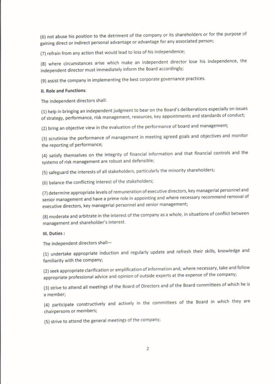(6) not abuse his position to the detriment of the company or its shareholders or for the purpose of gaining direct or indirect personal advantage or advantage for any associated person;

(7) refrain from any action that would lead to loss of his independence;

(3) where circumstances arise which make an independent director lose his Independence, the independent director must immediately inform the Board accordingly;

(9) assist the company in implementing the best corporate governance practices.

#### II. Role and Functions:

The independent directors shall:

(1) help in bringing an independent judgment to bear on the Board's deliberations especially on issues of strategy, performance, risk management, resources, key appointments and standards of conduct;

(2) bring an objective view in the evaluation of the performance of board and management;

(3) scrutinise the performance of management in meeting agreed goals and objectives and monitor the reporting of performance;

(4) satisfy themselves on the integrity of financial information and that financial controls and the systems of risk management are robust and defensible;

(5) safeguard the interests of all stakeholders, particularly the minority shareholders;

(6) balance the conflicting interest of the stakeholders;

(7) determine appropriate levels of remuneration of executive directors, key managerial personnel and senior management and have a prime role in appointing and where necessary recommend removal of executive directors, key managerial personnel and senior management;

(8) moderate and arbitrate in the interest of the company as a whole, in situations of conflict between management and shareholder's interest.

III. Duties :

The independent directors shall-

(1) undertake appropriate induction and regularly update and refresh their skills, knowledge and tamlliarity with the company;

(2) seek appropriate clarification or amplification of information and, where necessary, take and follow appropriate professional advice and opinion of outside experts at the expense of the company;

(3) strive to attend all meetings of the Board of Directors and of the Board committees of which he is a member;

14) participate constructively and actively in the committees of the Board in which they are chairpersons or members;

(5) strive to attend the general meetings of the company;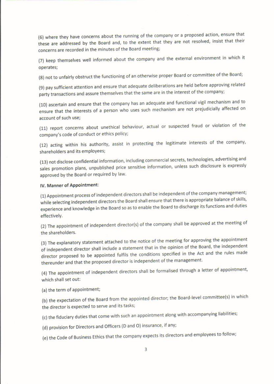(6) where they have concerns about the running of the company or a proposed action, ensure that these are addressed by the Board and, to the extent that they are not resolved, insist that their concerns are recorded in the minutes of the Board meeting;

(7) keep themselves well informed about the company and the external environment in which it operates;

(8) not to unfairly obstruct the functioning of an otherwise proper Board or committee of the Board;

(9) pay sufficient attention and ensure that adequate deliberations are held before approving related party transactions and assure themselves that the same are in the interest of the company;

(10) ascertain and ensure that the company has an adequate and functional vigil mechanism and to ensure that the interests of a person who uses such mechanism are not prejudicially affected on account of such use;

(11) report concerns about unethical behaviour, actual or suspected fraud or violation of the company's code of conduct or ethics policy;

(12) acting within his authority, assist in protecting the legitimate interests of the company, shareholders and its employees,

(13) not disclose confidential information, including commercial secrets, technologies, advertising and sales promotion plans, unpublished price sensitive information, unless such disclosure is expressly approved by the Board or required by law.

#### IV. Manner of Appointment:

(1) Appointment process of independent directors shall be independent of the company management; while selecting independent directors the Board shall ensure that there is appropriate balance of skills, experience and knowledge in the Board so as to enable the Board to discharge its functions and duties effectively.

(2) The appointment of independent director(s) of the company shall be approved at the meeting of the shareholders.

(3) The explanatory statement attached to the notice of the meeting for approving the appointment of independent director shall include a statement that in the opinion of the Board, the independent director proposed to be appointed fulfils the conditions specified in the Act and the rules made thereunder and that the proposed director is independent of the management.

(4) The appointment of independent directors shall be formalised through a letter of appointment, which shall set out:

(a) the term of appointment;

(b) the expectation of the Board from the appointed director; the Board-level committee(s) in which the director is expected to serve and its tasks;

(c) the fiduciary duties that come with such an appointment along with accompanying liabilities;

(d) provision for Directors and Officers (D and O) insurance, if any;

(e) the Code of Business Ethics that the company expects its directors and employees to follow;